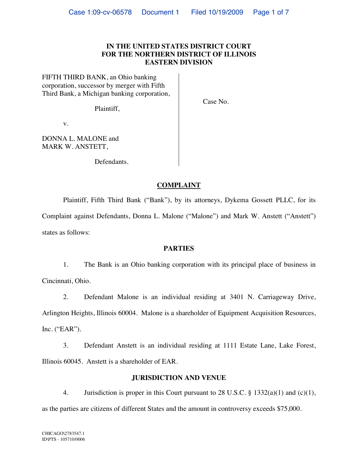## **IN THE UNITED STATES DISTRICT COURT FOR THE NORTHERN DISTRICT OF ILLINOIS EASTERN DIVISION**

FIFTH THIRD BANK, an Ohio banking corporation, successor by merger with Fifth Third Bank, a Michigan banking corporation,

Plaintiff,

Case No.

v.

DONNA L. MALONE and MARK W. ANSTETT,

Defendants.

# **COMPLAINT**

Plaintiff, Fifth Third Bank ("Bank"), by its attorneys, Dykema Gossett PLLC, for its Complaint against Defendants, Donna L. Malone ("Malone") and Mark W. Anstett ("Anstett") states as follows:

### **PARTIES**

1. The Bank is an Ohio banking corporation with its principal place of business in Cincinnati, Ohio.

2. Defendant Malone is an individual residing at 3401 N. Carriageway Drive, Arlington Heights, Illinois 60004. Malone is a shareholder of Equipment Acquisition Resources, Inc. ("EAR").

3. Defendant Anstett is an individual residing at 1111 Estate Lane, Lake Forest, Illinois 60045. Anstett is a shareholder of EAR.

### **JURISDICTION AND VENUE**

4. Jurisdiction is proper in this Court pursuant to 28 U.S.C. § 1332(a)(1) and (c)(1), as the parties are citizens of different States and the amount in controversy exceeds \$75,000.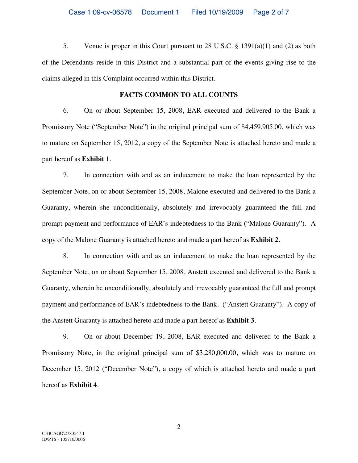5. Venue is proper in this Court pursuant to 28 U.S.C. § 1391(a)(1) and (2) as both of the Defendants reside in this District and a substantial part of the events giving rise to the claims alleged in this Complaint occurred within this District.

## **FACTS COMMON TO ALL COUNTS**

6. On or about September 15, 2008, EAR executed and delivered to the Bank a Promissory Note ("September Note") in the original principal sum of \$4,459,905.00, which was to mature on September 15, 2012, a copy of the September Note is attached hereto and made a part hereof as **Exhibit 1**.

7. In connection with and as an inducement to make the loan represented by the September Note, on or about September 15, 2008, Malone executed and delivered to the Bank a Guaranty, wherein she unconditionally, absolutely and irrevocably guaranteed the full and prompt payment and performance of EAR's indebtedness to the Bank ("Malone Guaranty"). A copy of the Malone Guaranty is attached hereto and made a part hereof as **Exhibit 2**.

8. In connection with and as an inducement to make the loan represented by the September Note, on or about September 15, 2008, Anstett executed and delivered to the Bank a Guaranty, wherein he unconditionally, absolutely and irrevocably guaranteed the full and prompt payment and performance of EAR's indebtedness to the Bank. ("Anstett Guaranty"). A copy of the Anstett Guaranty is attached hereto and made a part hereof as **Exhibit 3**.

9. On or about December 19, 2008, EAR executed and delivered to the Bank a Promissory Note, in the original principal sum of \$3,280,000.00, which was to mature on December 15, 2012 ("December Note"), a copy of which is attached hereto and made a part hereof as **Exhibit 4**.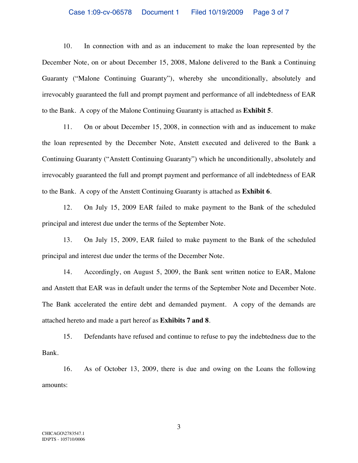#### Case 1:09-cv-06578 Document 1 Filed 10/19/2009 Page 3 of 7

10. In connection with and as an inducement to make the loan represented by the December Note, on or about December 15, 2008, Malone delivered to the Bank a Continuing Guaranty ("Malone Continuing Guaranty"), whereby she unconditionally, absolutely and irrevocably guaranteed the full and prompt payment and performance of all indebtedness of EAR to the Bank. A copy of the Malone Continuing Guaranty is attached as **Exhibit 5**.

11. On or about December 15, 2008, in connection with and as inducement to make the loan represented by the December Note, Anstett executed and delivered to the Bank a Continuing Guaranty ("Anstett Continuing Guaranty") which he unconditionally, absolutely and irrevocably guaranteed the full and prompt payment and performance of all indebtedness of EAR to the Bank. A copy of the Anstett Continuing Guaranty is attached as **Exhibit 6**.

12. On July 15, 2009 EAR failed to make payment to the Bank of the scheduled principal and interest due under the terms of the September Note.

13. On July 15, 2009, EAR failed to make payment to the Bank of the scheduled principal and interest due under the terms of the December Note.

14. Accordingly, on August 5, 2009, the Bank sent written notice to EAR, Malone and Anstett that EAR was in default under the terms of the September Note and December Note. The Bank accelerated the entire debt and demanded payment. A copy of the demands are attached hereto and made a part hereof as **Exhibits 7 and 8**.

15. Defendants have refused and continue to refuse to pay the indebtedness due to the Bank.

16. As of October 13, 2009, there is due and owing on the Loans the following amounts:

3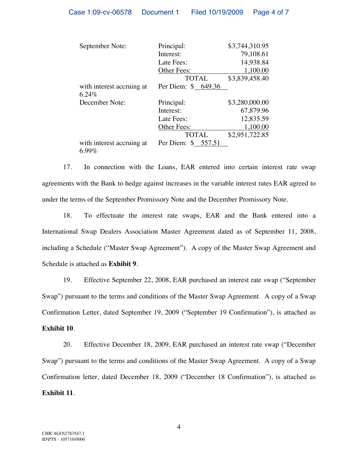| September Note:                       | Principal:          | \$3,744,310.95 |
|---------------------------------------|---------------------|----------------|
|                                       | Interest:           | 79,108.61      |
|                                       | Late Fees:          | 14,938.84      |
|                                       | Other Fees:         | 1,100.00       |
|                                       | <b>TOTAL</b>        | \$3,839,458.40 |
| with interest accruing at<br>6.24%    | Per Diem: \$ 649.36 |                |
| December Note:                        | Principal:          | \$3,280,000.00 |
|                                       | Interest:           | 67,879.96      |
|                                       | Late Fees:          | 12,835.59      |
|                                       | Other Fees:         | 1,100.00       |
|                                       | <b>TOTAL</b>        | \$2,951,722.85 |
| with interest accruing at<br>$6.99\%$ | Per Diem: \$ 557.51 |                |

17. In connection with the Loans, EAR entered into certain interest rate swap agreements with the Bank to hedge against increases in the variable interest rates EAR agreed to under the terms of the September Promissory Note and the December Promissory Note.

18. To effectuate the interest rate swaps, EAR and the Bank entered into a International Swap Dealers Association Master Agreement dated as of September 11, 2008, including a Schedule ("Master Swap Agreement"). A copy of the Master Swap Agreement and Schedule is attached as **Exhibit 9**.

19. Effective September 22, 2008, EAR purchased an interest rate swap ("September Swap") pursuant to the terms and conditions of the Master Swap Agreement. A copy of a Swap Confirmation Letter, dated September 19, 2009 ("September 19 Confirmation"), is attached as **Exhibit 10**.

20. Effective December 18, 2009, EAR purchased an interest rate swap ("December Swap") pursuant to the terms and conditions of the Master Swap Agreement. A copy of a Swap Confirmation letter, dated December 18, 2009 ("December 18 Confirmation"), is attached as **Exhibit 11**.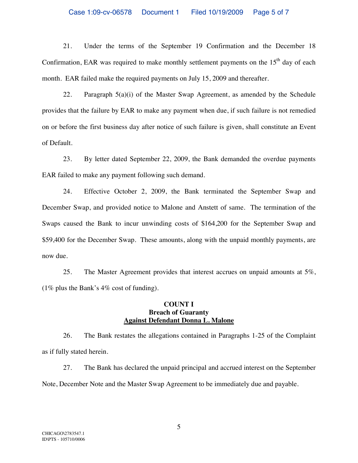#### Case 1:09-cv-06578 Document 1 Filed 10/19/2009 Page 5 of 7

21. Under the terms of the September 19 Confirmation and the December 18 Confirmation, EAR was required to make monthly settlement payments on the  $15<sup>th</sup>$  day of each month. EAR failed make the required payments on July 15, 2009 and thereafter.

22. Paragraph  $5(a)(i)$  of the Master Swap Agreement, as amended by the Schedule provides that the failure by EAR to make any payment when due, if such failure is not remedied on or before the first business day after notice of such failure is given, shall constitute an Event of Default.

23. By letter dated September 22, 2009, the Bank demanded the overdue payments EAR failed to make any payment following such demand.

24. Effective October 2, 2009, the Bank terminated the September Swap and December Swap, and provided notice to Malone and Anstett of same. The termination of the Swaps caused the Bank to incur unwinding costs of \$164,200 for the September Swap and \$59,400 for the December Swap. These amounts, along with the unpaid monthly payments, are now due.

25. The Master Agreement provides that interest accrues on unpaid amounts at 5%, (1% plus the Bank's 4% cost of funding).

### **COUNT I Breach of Guaranty Against Defendant Donna L. Malone**

26. The Bank restates the allegations contained in Paragraphs 1-25 of the Complaint as if fully stated herein.

27. The Bank has declared the unpaid principal and accrued interest on the September Note, December Note and the Master Swap Agreement to be immediately due and payable.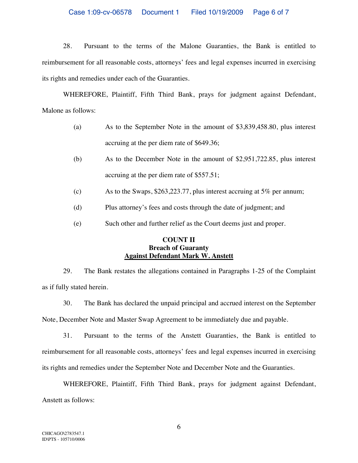### Case 1:09-cv-06578 Document 1 Filed 10/19/2009 Page 6 of 7

28. Pursuant to the terms of the Malone Guaranties, the Bank is entitled to reimbursement for all reasonable costs, attorneys' fees and legal expenses incurred in exercising its rights and remedies under each of the Guaranties.

WHEREFORE, Plaintiff, Fifth Third Bank, prays for judgment against Defendant, Malone as follows:

- (a) As to the September Note in the amount of \$3,839,458.80, plus interest accruing at the per diem rate of \$649.36;
- (b) As to the December Note in the amount of \$2,951,722.85, plus interest accruing at the per diem rate of \$557.51;
- (c) As to the Swaps,  $$263,223.77$ , plus interest accruing at 5% per annum;
- (d) Plus attorney's fees and costs through the date of judgment; and
- (e) Such other and further relief as the Court deems just and proper.

## **COUNT II Breach of Guaranty Against Defendant Mark W. Anstett**

29. The Bank restates the allegations contained in Paragraphs 1-25 of the Complaint as if fully stated herein.

30. The Bank has declared the unpaid principal and accrued interest on the September Note, December Note and Master Swap Agreement to be immediately due and payable.

31. Pursuant to the terms of the Anstett Guaranties, the Bank is entitled to reimbursement for all reasonable costs, attorneys' fees and legal expenses incurred in exercising its rights and remedies under the September Note and December Note and the Guaranties.

WHEREFORE, Plaintiff, Fifth Third Bank, prays for judgment against Defendant, Anstett as follows: